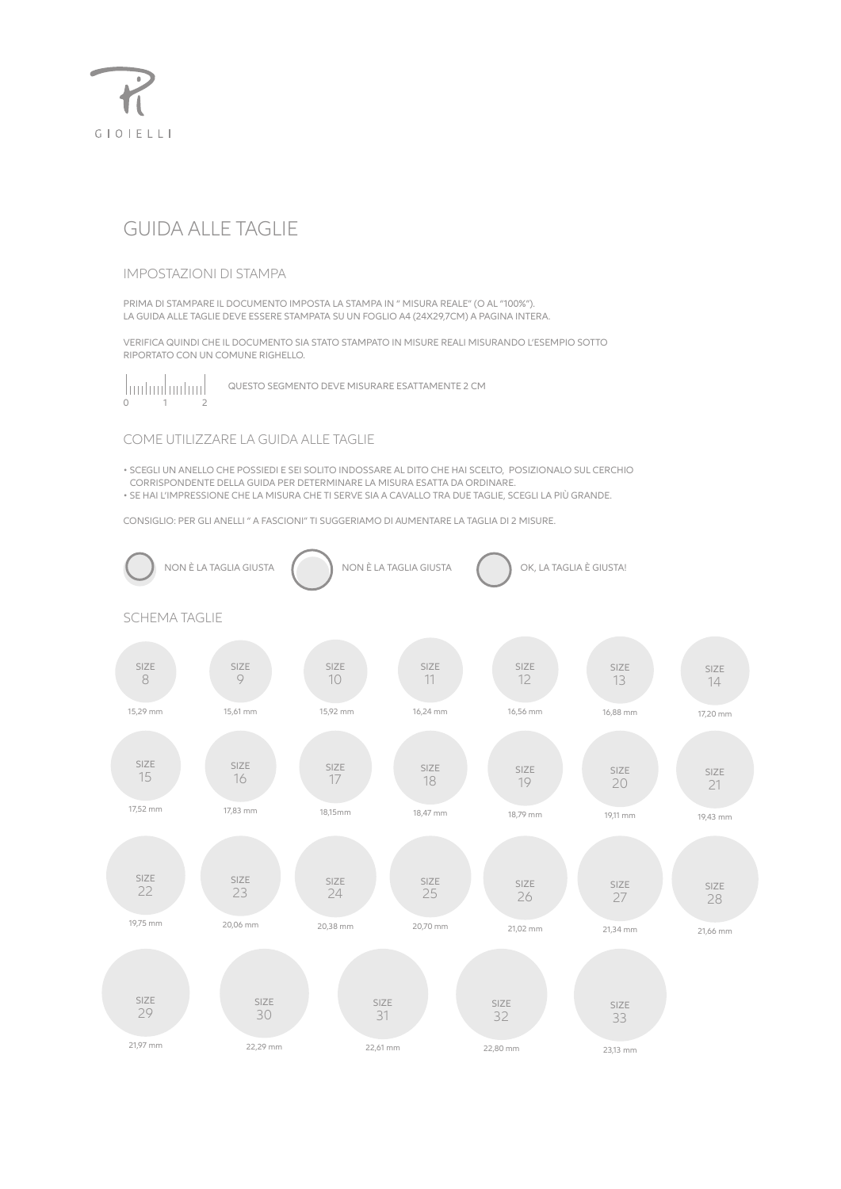

# GUIDA ALLE TAGLIE

#### **IMPOSTAZIONI DI STAMPA**

PRIMA DI STAMPARE IL DOCUMENTO IMPOSTA LA STAMPA IN "MISURA REALE" (O AL "100%"). LA GUIDA ALLE TAGLIE DEVE ESSERE STAMPATA SU UN FOGLIO A4 (24X29,7CM) A PAGINA INTERA.

VERIFICA QUINDI CHE IL DOCUMENTO SIA STATO STAMPATO IN MISURE REALI MISURANDO L'ESEMPIO SOTTO RIPORTATO CON UN COMUNE RIGHELLO



QUESTO SEGMENTO DEVE MISURARE ESATTAMENTE 2 CM

### COME UTILIZZARE LA GUIDA ALLE TAGLIE

· SCEGLI UN ANELLO CHE POSSIEDI E SEI SOLITO INDOSSARE AL DITO CHE HAI SCELTO, POSIZIONALO SUL CERCHIO CORRISPONDENTE DELLA GUIDA PER DETERMINARE LA MISURA ESATTA DA ORDINARE.

· SE HAI L'IMPRESSIONE CHE LA MISURA CHE TI SERVE SIA A CAVALLO TRA DUE TAGLIE, SCEGLI LA PIÙ GRANDE.

CONSIGLIO: PER GLI ANELLI " A FASCIONI" TI SUGGERIAMO DI AUMENTARE LA TAGLIA DI 2 MISURE.